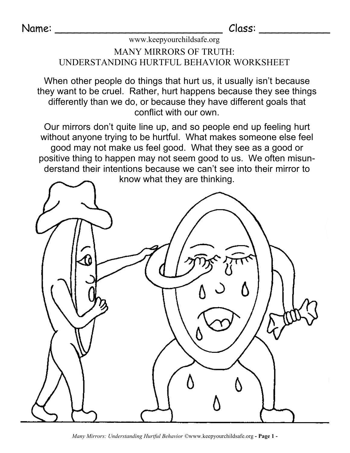## www.keepyourchildsafe.org

## MANY MIRRORS OF TRUTH: UNDERSTANDING HURTFUL BEHAVIOR WORKSHEET

When other people do things that hurt us, it usually isn't because they want to be cruel. Rather, hurt happens because they see things differently than we do, or because they have different goals that conflict with our own.

Our mirrors don't quite line up, and so people end up feeling hurt without anyone trying to be hurtful. What makes someone else feel good may not make us feel good. What they see as a good or positive thing to happen may not seem good to us. We often misun derstand their intentions because we can't see into their mirror to



*Many Mirrors: Understanding Hurtful Behavior ©*www.keepyourchildsafe.org **- Page 1 -**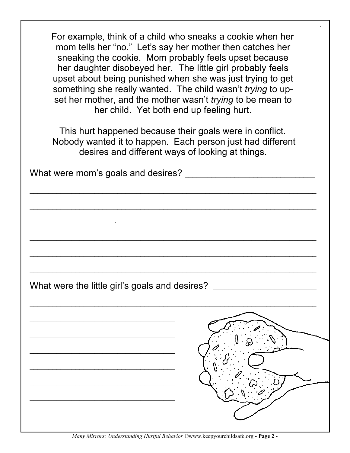For example, think of a child who sneaks a cookie when her mom tells her "no." Let's say her mother then catches her sneaking the cookie. Mom probably feels upset because her daughter disobeyed her. The little girl probably feels upset about being punished when she was just trying to get something she really wanted. The child wasn't*trying* to up set her mother, and the mother wasn't*trying* to be mean to her child. Yet both end up feeling hurt.

This hurt happened because their goals were in conflict. Nobody wanted it to happen. Each person just had different desires and different ways of looking at things.

|  | <u>and the contract of the contract of the contract of the contract of the contract of the contract of the contract of</u> |
|--|----------------------------------------------------------------------------------------------------------------------------|
|  |                                                                                                                            |
|  |                                                                                                                            |
|  |                                                                                                                            |
|  |                                                                                                                            |
|  | What were the little girl's goals and desires? _________________________________                                           |
|  |                                                                                                                            |
|  |                                                                                                                            |
|  |                                                                                                                            |
|  |                                                                                                                            |
|  |                                                                                                                            |
|  |                                                                                                                            |
|  |                                                                                                                            |
|  |                                                                                                                            |
|  |                                                                                                                            |
|  |                                                                                                                            |

*Many Mirrors: Understanding Hurtful Behavior ©*www.keepyourchildsafe.org **- Page 2 -**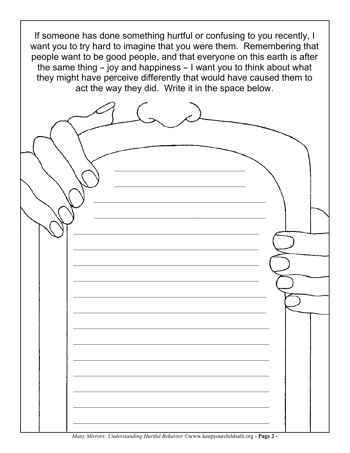If someone has done something hurtful or confusing to you recently, I want you to try hard to imagine that you were them. Remembering that people want to be good people, and that everyone on this earth is after the same thing - joy and happiness - I want you to think about what they might have perceive differently that would have caused them to act the way they did. Write it in the space below.

| <u> 1999 - Johann John Harry Harry Harry Harry Harry Harry Harry Harry Harry Harry Harry Harry Harry Harry Harry H</u>                                                                                                                                                                                                                                                                               |  |
|------------------------------------------------------------------------------------------------------------------------------------------------------------------------------------------------------------------------------------------------------------------------------------------------------------------------------------------------------------------------------------------------------|--|
|                                                                                                                                                                                                                                                                                                                                                                                                      |  |
| <u> De Carlos de Carlos de Carlos de Carlos de Carlos de Carlos de Carlos de Carlos de Carlos de Carlos de Carlos </u><br>$M_{\text{max}}$ , $M_{\text{max}}$ , $L_1$ , $L_2$ , $L_3$ , $L_4$ , $L_5$ , $L_6$ , $L_7$ , $L_7$ , $L_8$ , $L_7$ , $L_8$ , $L_9$ , $L_9$ , $L_9$ , $L_9$ , $L_1$ , $L_2$ , $L_3$ , $L_7$ , $L_8$ , $L_9$ , $L_9$ , $L_9$ , $L_9$ , $L_9$ , $L_9$ , $L_9$ , $L_9$ , $L_$ |  |

*Many Mirrors: Understanding Hurtful Behavior* ©www.keepyourchildsafe.org - **Page 2** -